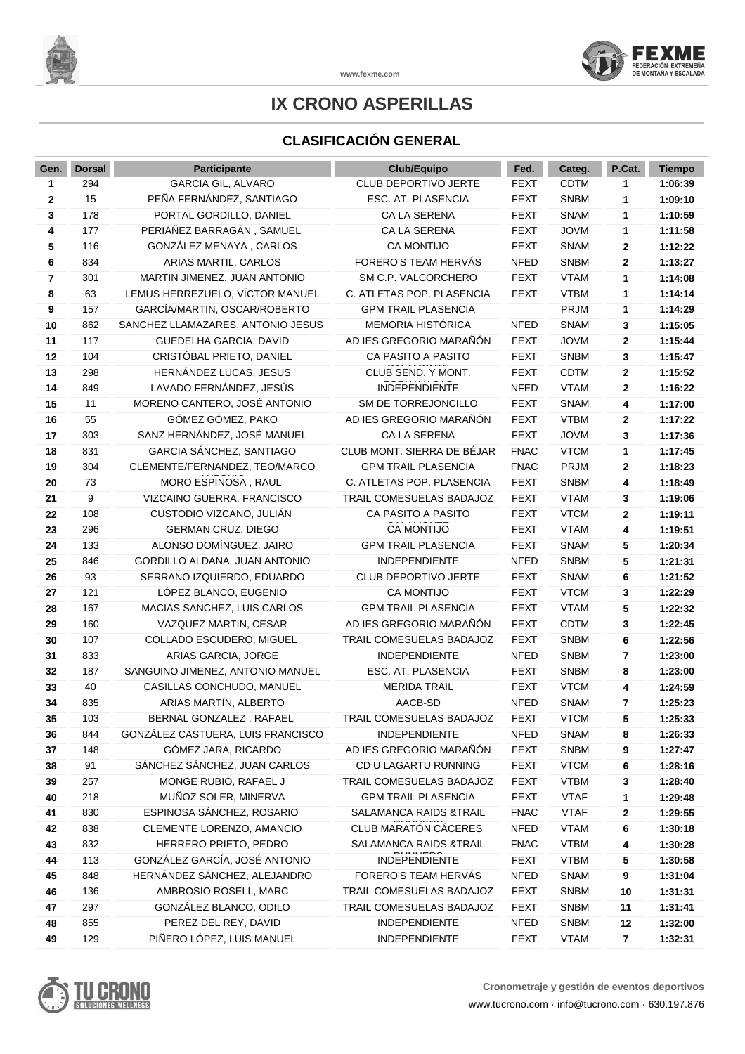

**www.fexme.com**

## **IX CRONO ASPERILLAS**

## **CLASIFICACIÓN GENERAL**

| Gen.         | <b>Dorsal</b> | Participante                                            | <b>Club/Equipo</b>                  | Fed.                       | Categ.                     | P.Cat. | <b>Tiempo</b>      |
|--------------|---------------|---------------------------------------------------------|-------------------------------------|----------------------------|----------------------------|--------|--------------------|
| 1            | 294           | <b>GARCIA GIL, ALVARO</b>                               | <b>CLUB DEPORTIVO JERTE</b>         | <b>FEXT</b>                | <b>CDTM</b>                | 1      | 1:06:39            |
| $\mathbf{2}$ | 15            | PEÑA FERNÁNDEZ, SANTIAGO                                | ESC. AT. PLASENCIA                  | <b>FEXT</b>                | <b>SNBM</b>                | 1      | 1:09:10            |
| 3            | 178           | PORTAL GORDILLO, DANIEL                                 | CA LA SERENA                        | <b>FEXT</b>                | <b>SNAM</b>                | 1      | 1:10:59            |
| 4            | 177           | PERIÁÑEZ BARRAGÁN, SAMUEL                               | CA LA SERENA                        | <b>FEXT</b>                | <b>JOVM</b>                | 1      | 1:11:58            |
| 5            | 116           | GONZÁLEZ MENAYA, CARLOS                                 | CA MONTIJO                          | <b>FEXT</b>                | <b>SNAM</b>                | 2      | 1:12:22            |
| 6            | 834           | ARIAS MARTIL, CARLOS                                    | FORERO'S TEAM HERVÁS                | <b>NFED</b>                | <b>SNBM</b>                | 2      | 1:13:27            |
| 7            | 301           | MARTIN JIMENEZ, JUAN ANTONIO                            | SM C.P. VALCORCHERO                 | <b>FEXT</b>                | <b>VTAM</b>                | 1      | 1:14:08            |
| 8            | 63            | LEMUS HERREZUELO, VÍCTOR MANUEL                         | C. ATLETAS POP. PLASENCIA           | <b>FEXT</b>                | <b>VTBM</b>                | 1      | 1:14:14            |
| 9            | 157           | GARCÍA/MARTIN, OSCAR/ROBERTO                            | <b>GPM TRAIL PLASENCIA</b>          |                            | <b>PRJM</b>                | 1      | 1:14:29            |
| 10           | 862           | SANCHEZ LLAMAZARES, ANTONIO JESUS                       | <b>MEMORIA HISTÓRICA</b>            | <b>NFED</b>                | <b>SNAM</b>                | 3      | 1:15:05            |
| 11           | 117           | GUEDELHA GARCIA, DAVID                                  | AD IES GREGORIO MARAÑÓN             | <b>FEXT</b>                | <b>JOVM</b>                | 2      | 1:15:44            |
| 12           | 104           | CRISTÓBAL PRIETO, DANIEL                                | CA PASITO A PASITO                  | <b>FEXT</b>                | <b>SNBM</b>                | 3      | 1:15:47            |
| 13           | 298           | HERNÁNDEZ LUCAS, JESUS                                  | CLUB SEND. Y MONT.                  | <b>FEXT</b>                | <b>CDTM</b>                | 2      | 1:15:52            |
| 14           | 849           | LAVADO FERNÁNDEZ, JESÚS                                 | <b>INDEPENDIENTE</b>                | <b>NFED</b>                | <b>VTAM</b>                | 2      | 1:16:22            |
| 15           | 11            | MORENO CANTERO, JOSÉ ANTONIO                            | SM DE TORREJONCILLO                 | <b>FEXT</b>                | <b>SNAM</b>                | 4      | 1:17:00            |
| 16           | 55            | GÓMEZ GÓMEZ, PAKO                                       | AD IES GREGORIO MARAÑÓN             | <b>FEXT</b>                | <b>VTBM</b>                | 2      | 1:17:22            |
| 17           | 303           | SANZ HERNÁNDEZ, JOSÉ MANUEL                             | CA LA SERENA                        | <b>FEXT</b>                | <b>JOVM</b>                | 3      | 1:17:36            |
| 18           | 831           | GARCIA SÁNCHEZ, SANTIAGO                                | CLUB MONT. SIERRA DE BÉJAR          | <b>FNAC</b>                | <b>VTCM</b>                | 1      | 1:17:45            |
| 19           | 304           | CLEMENTE/FERNANDEZ, TEO/MARCO                           | <b>GPM TRAIL PLASENCIA</b>          | <b>FNAC</b>                | PRJM                       | 2      | 1:18:23            |
| 20           | 73            | MORO ESPINOSA, RAUL                                     | C. ATLETAS POP. PLASENCIA           | <b>FEXT</b>                | <b>SNBM</b>                | 4      | 1:18:49            |
| 21           | 9             | VIZCAINO GUERRA, FRANCISCO                              | TRAIL COMESUELAS BADAJOZ            | <b>FEXT</b>                | <b>VTAM</b>                | 3      | 1:19:06            |
| 22           | 108           | CUSTODIO VIZCANO, JULIÁN                                | CA PASITO A PASITO                  | <b>FEXT</b>                | <b>VTCM</b>                | 2      | 1:19:11            |
| 23           | 296           | <b>GERMAN CRUZ, DIEGO</b>                               | CA MONTIJO                          | <b>FEXT</b>                | <b>VTAM</b>                | 4      | 1:19:51            |
| 24           | 133           | ALONSO DOMÍNGUEZ, JAIRO                                 | <b>GPM TRAIL PLASENCIA</b>          | <b>FEXT</b>                | <b>SNAM</b>                | 5      | 1:20:34            |
| 25           | 846           | GORDILLO ALDANA, JUAN ANTONIO                           | <b>INDEPENDIENTE</b>                | <b>NFED</b>                | <b>SNBM</b>                | 5      | 1:21:31            |
| 26           | 93            | SERRANO IZQUIERDO, EDUARDO                              | CLUB DEPORTIVO JERTE                | <b>FEXT</b>                | <b>SNAM</b>                | 6      | 1:21:52            |
| 27           | 121           | LÓPEZ BLANCO, EUGENIO                                   | CA MONTIJO                          | <b>FEXT</b>                | <b>VTCM</b>                | 3      | 1:22:29            |
| 28           | 167           | MACIAS SANCHEZ, LUIS CARLOS                             | <b>GPM TRAIL PLASENCIA</b>          | <b>FEXT</b>                | <b>VTAM</b>                | 5      | 1:22:32            |
| 29           | 160           | VAZQUEZ MARTIN, CESAR                                   | AD IES GREGORIO MARAÑÓN             | <b>FEXT</b>                | <b>CDTM</b>                | 3      | 1:22:45            |
| 30           | 107           | COLLADO ESCUDERO, MIGUEL                                | TRAIL COMESUELAS BADAJOZ            | <b>FEXT</b>                | <b>SNBM</b>                | 6      | 1:22:56            |
| 31<br>32     | 833<br>187    | ARIAS GARCIA, JORGE<br>SANGUINO JIMENEZ, ANTONIO MANUEL | INDEPENDIENTE<br>ESC. AT. PLASENCIA | <b>NFED</b><br><b>FEXT</b> | <b>SNBM</b><br><b>SNBM</b> | 7      | 1:23:00            |
| 33           | 40            | CASILLAS CONCHUDO, MANUEL                               | <b>MERIDA TRAIL</b>                 | <b>FEXT</b>                | <b>VTCM</b>                | 8<br>4 | 1:23:00<br>1:24:59 |
| 34           | 835           | ARIAS MARTÍN, ALBERTO                                   | AACB-SD                             | <b>NFED</b>                | <b>SNAM</b>                | 7      | 1:25:23            |
| 35           | 103           | BERNAL GONZALEZ, RAFAEL                                 | TRAIL COMESUELAS BADAJOZ            | <b>FEXT</b>                | <b>VTCM</b>                | 5      | 1:25:33            |
| 36           | 844           | GONZÁLEZ CASTUERA, LUIS FRANCISCO                       | <b>INDEPENDIENTE</b>                | <b>NFED</b>                | <b>SNAM</b>                | 8      | 1:26:33            |
| 37           | 148           | GÓMEZ JARA, RICARDO                                     | AD IES GREGORIO MARAÑÓN             | <b>FEXT</b>                | <b>SNBM</b>                | 9      | 1:27:47            |
| 38           | 91            | SÁNCHEZ SÁNCHEZ, JUAN CARLOS                            | CD U LAGARTU RUNNING                | <b>FEXT</b>                | <b>VTCM</b>                | 6      | 1:28:16            |
| 39           | 257           | MONGE RUBIO, RAFAEL J                                   | TRAIL COMESUELAS BADAJOZ            | <b>FEXT</b>                | <b>VTBM</b>                | 3      | 1:28:40            |
| 40           | 218           | MUÑOZ SOLER, MINERVA                                    | <b>GPM TRAIL PLASENCIA</b>          | <b>FEXT</b>                | <b>VTAF</b>                | 1      | 1:29:48            |
| 41           | 830           | ESPINOSA SÁNCHEZ, ROSARIO                               | SALAMANCA RAIDS & TRAIL             | <b>FNAC</b>                | <b>VTAF</b>                | 2      | 1:29:55            |
| 42           | 838           | CLEMENTE LORENZO, AMANCIO                               | CLUB MARATÓN CÁCERES                | <b>NFED</b>                | <b>VTAM</b>                | 6      | 1:30:18            |
| 43           | 832           | HERRERO PRIETO, PEDRO                                   | SALAMANCA RAIDS & TRAIL             | <b>FNAC</b>                | <b>VTBM</b>                | 4      | 1:30:28            |
| 44           | 113           | GONZÁLEZ GARCÍA, JOSÉ ANTONIO                           | INDEPENDIENTE                       | <b>FEXT</b>                | <b>VTBM</b>                | 5      | 1:30:58            |
| 45           | 848           | HERNÁNDEZ SÁNCHEZ, ALEJANDRO                            | FORERO'S TEAM HERVÁS                | <b>NFED</b>                | <b>SNAM</b>                | 9      | 1:31:04            |
| 46           | 136           | AMBROSIO ROSELL, MARC                                   | TRAIL COMESUELAS BADAJOZ            | <b>FEXT</b>                | <b>SNBM</b>                | 10     | 1:31:31            |
| 47           | 297           | GONZÁLEZ BLANCO, ODILO                                  | TRAIL COMESUELAS BADAJOZ            | <b>FEXT</b>                | <b>SNBM</b>                | 11     | 1:31:41            |
| 48           | 855           | PEREZ DEL REY, DAVID                                    | <b>INDEPENDIENTE</b>                | <b>NFED</b>                | <b>SNBM</b>                | 12     | 1:32:00            |
| 49           | 129           | PIÑERO LÓPEZ, LUIS MANUEL                               | <b>INDEPENDIENTE</b>                | <b>FEXT</b>                | <b>VTAM</b>                | 7      | 1:32:31            |

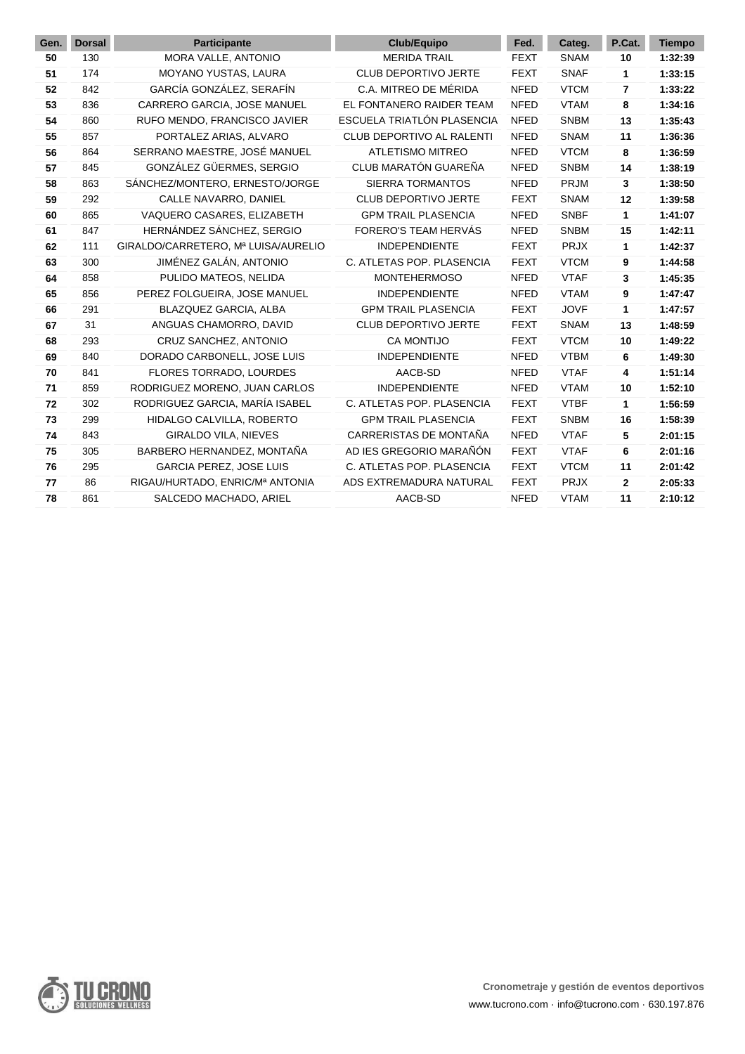| Gen. | <b>Dorsal</b> | <b>Participante</b>                 | <b>Club/Equipo</b>         | Fed.        | Categ.      | P.Cat.       | <b>Tiempo</b> |
|------|---------------|-------------------------------------|----------------------------|-------------|-------------|--------------|---------------|
| 50   | 130           | MORA VALLE, ANTONIO                 | <b>MERIDA TRAIL</b>        | <b>FEXT</b> | <b>SNAM</b> | 10           | 1:32:39       |
| 51   | 174           | MOYANO YUSTAS, LAURA                | CLUB DEPORTIVO JERTE       | <b>FEXT</b> | <b>SNAF</b> | 1            | 1:33:15       |
| 52   | 842           | GARCÍA GONZÁLEZ, SERAFÍN            | C.A. MITREO DE MÉRIDA      | <b>NFED</b> | <b>VTCM</b> | 7            | 1:33:22       |
| 53   | 836           | CARRERO GARCIA, JOSE MANUEL         | EL FONTANERO RAIDER TEAM   | <b>NFED</b> | <b>VTAM</b> | 8            | 1:34:16       |
| 54   | 860           | RUFO MENDO, FRANCISCO JAVIER        | ESCUELA TRIATLÓN PLASENCIA | <b>NFED</b> | <b>SNBM</b> | 13           | 1:35:43       |
| 55   | 857           | PORTALEZ ARIAS, ALVARO              | CLUB DEPORTIVO AL RALENTI  | <b>NFED</b> | <b>SNAM</b> | 11           | 1:36:36       |
| 56   | 864           | SERRANO MAESTRE, JOSÉ MANUEL        | <b>ATLETISMO MITREO</b>    | <b>NFED</b> | <b>VTCM</b> | 8            | 1:36:59       |
| 57   | 845           | GONZÁLEZ GÜERMES, SERGIO            | CLUB MARATÓN GUAREÑA       | <b>NFED</b> | <b>SNBM</b> | 14           | 1:38:19       |
| 58   | 863           | SÁNCHEZ/MONTERO, ERNESTO/JORGE      | <b>SIERRA TORMANTOS</b>    | <b>NFED</b> | PRJM        | 3            | 1:38:50       |
| 59   | 292           | CALLE NAVARRO, DANIEL               | CLUB DEPORTIVO JERTE       | <b>FEXT</b> | <b>SNAM</b> | 12           | 1:39:58       |
| 60   | 865           | VAQUERO CASARES, ELIZABETH          | <b>GPM TRAIL PLASENCIA</b> | <b>NFED</b> | <b>SNBF</b> | 1            | 1:41:07       |
| 61   | 847           | HERNÁNDEZ SÁNCHEZ, SERGIO           | FORERO'S TEAM HERVÁS       | <b>NFED</b> | <b>SNBM</b> | 15           | 1:42:11       |
| 62   | 111           | GIRALDO/CARRETERO, Mª LUISA/AURELIO | <b>INDEPENDIENTE</b>       | <b>FEXT</b> | <b>PRJX</b> | 1            | 1:42:37       |
| 63   | 300           | JIMÉNEZ GALÁN, ANTONIO              | C. ATLETAS POP. PLASENCIA  | <b>FEXT</b> | <b>VTCM</b> | 9            | 1:44:58       |
| 64   | 858           | PULIDO MATEOS, NELIDA               | <b>MONTEHERMOSO</b>        | <b>NFED</b> | <b>VTAF</b> | 3            | 1:45:35       |
| 65   | 856           | PEREZ FOLGUEIRA, JOSE MANUEL        | <b>INDEPENDIENTE</b>       | <b>NFED</b> | <b>VTAM</b> | 9            | 1:47:47       |
| 66   | 291           | BLAZQUEZ GARCIA, ALBA               | <b>GPM TRAIL PLASENCIA</b> | <b>FEXT</b> | <b>JOVF</b> | 1            | 1:47:57       |
| 67   | 31            | ANGUAS CHAMORRO, DAVID              | CLUB DEPORTIVO JERTE       | <b>FEXT</b> | <b>SNAM</b> | 13           | 1:48:59       |
| 68   | 293           | CRUZ SANCHEZ, ANTONIO               | <b>CA MONTIJO</b>          | <b>FEXT</b> | <b>VTCM</b> | 10           | 1:49:22       |
| 69   | 840           | DORADO CARBONELL, JOSE LUIS         | <b>INDEPENDIENTE</b>       | <b>NFED</b> | <b>VTBM</b> | 6            | 1:49:30       |
| 70   | 841           | FLORES TORRADO, LOURDES             | AACB-SD                    | <b>NFED</b> | <b>VTAF</b> | 4            | 1:51:14       |
| 71   | 859           | RODRIGUEZ MORENO, JUAN CARLOS       | <b>INDEPENDIENTE</b>       | <b>NFED</b> | <b>VTAM</b> | 10           | 1:52:10       |
| 72   | 302           | RODRIGUEZ GARCIA, MARÍA ISABEL      | C. ATLETAS POP. PLASENCIA  | <b>FEXT</b> | <b>VTBF</b> | 1            | 1:56:59       |
| 73   | 299           | HIDALGO CALVILLA, ROBERTO           | <b>GPM TRAIL PLASENCIA</b> | <b>FEXT</b> | <b>SNBM</b> | 16           | 1:58:39       |
| 74   | 843           | GIRALDO VILA, NIEVES                | CARRERISTAS DE MONTAÑA     | <b>NFED</b> | <b>VTAF</b> | 5            | 2:01:15       |
| 75   | 305           | BARBERO HERNANDEZ, MONTAÑA          | AD IES GREGORIO MARAÑÓN    | <b>FEXT</b> | <b>VTAF</b> | 6            | 2:01:16       |
| 76   | 295           | <b>GARCIA PEREZ, JOSE LUIS</b>      | C. ATLETAS POP. PLASENCIA  | <b>FEXT</b> | <b>VTCM</b> | 11           | 2:01:42       |
| 77   | 86            | RIGAU/HURTADO, ENRIC/Mª ANTONIA     | ADS EXTREMADURA NATURAL    | <b>FEXT</b> | <b>PRJX</b> | $\mathbf{2}$ | 2:05:33       |
| 78   | 861           | SALCEDO MACHADO, ARIEL              | AACB-SD                    | <b>NFED</b> | <b>VTAM</b> | 11           | 2:10:12       |